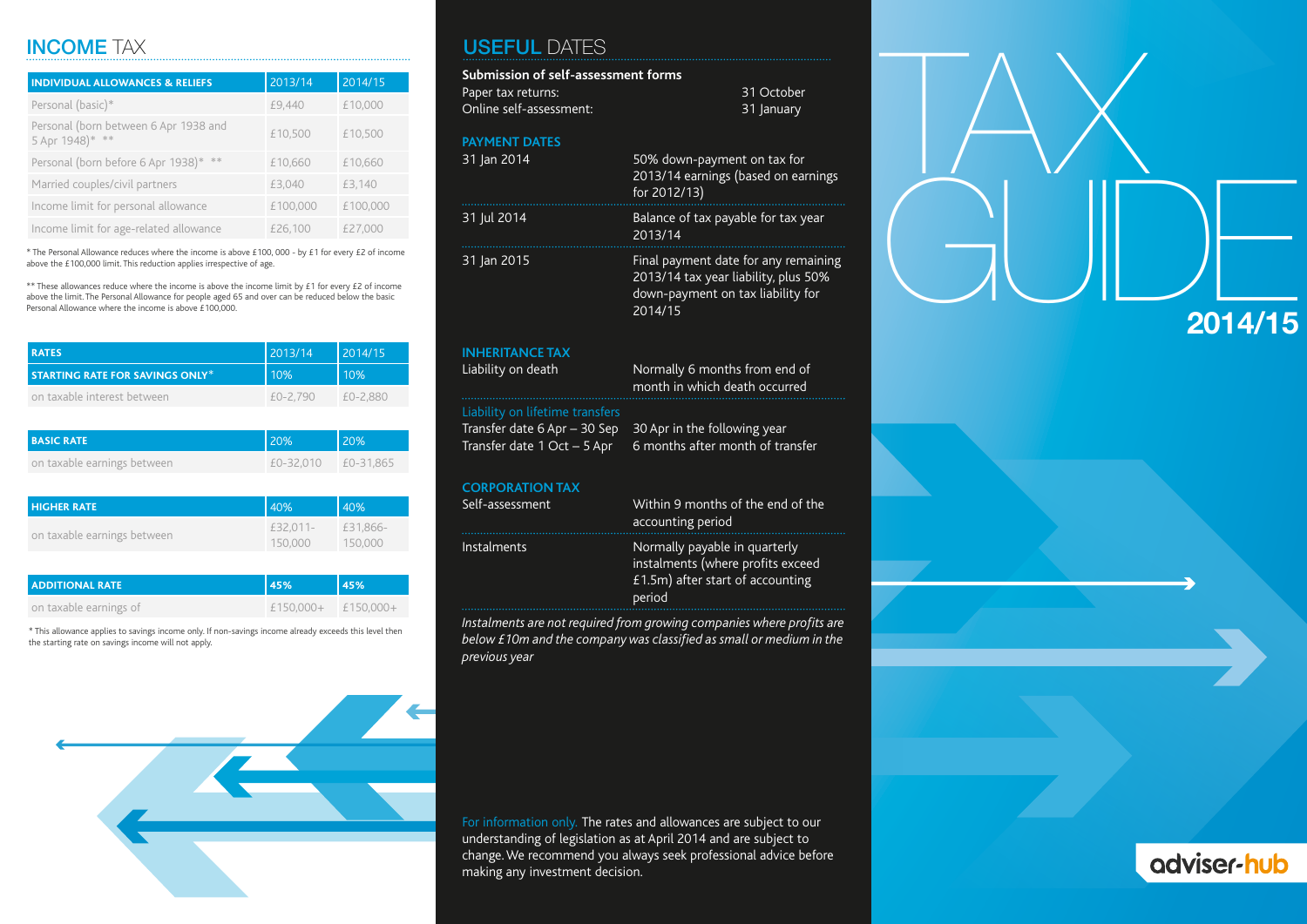### INCOME TAX

| <b>INDIVIDUAL ALLOWANCES &amp; RELIEFS</b>               | 2013/14  | 2014/15  |
|----------------------------------------------------------|----------|----------|
| Personal (basic)*                                        | £9,440   | £10,000  |
| Personal (born between 6 Apr 1938 and<br>5 Apr 1948)* ** | £10,500  | £10,500  |
| Personal (born before 6 Apr 1938)* **                    | £10,660  | £10.660  |
| Married couples/civil partners                           | £3.040   | £3.140   |
| Income limit for personal allowance                      | £100,000 | £100,000 |
| Income limit for age-related allowance                   | £26,100  | £27.000  |

\* The Personal Allowance reduces where the income is above £100, 000 - by £1 for every £2 of income above the £100,000 limit. This reduction applies irrespective of age.

\*\* These allowances reduce where the income is above the income limit by  $£1$  for every  $£2$  of income above the limit. The Personal Allowance for people aged 65 and over can be reduced below the basic Personal Allowance where the income is above £100,000.

| <b>RATES</b>                           | 2013/14  | 2014/15  |
|----------------------------------------|----------|----------|
| <b>STARTING RATE FOR SAVINGS ONLY*</b> | 10%      | 10%      |
| on taxable interest between            | £0-2.790 | £0-2.880 |

| <b>BASIC RATE</b>           | 20%       | 20%       |
|-----------------------------|-----------|-----------|
| on taxable earnings between | £0-32.010 | £0-31.865 |

| <b>HIGHER RATE</b>          | 40%                 | 40%                 |
|-----------------------------|---------------------|---------------------|
| on taxable earnings between | £32.011-<br>150,000 | £31.866-<br>150,000 |

| <b>ADDITIONAL RATE</b> | <b>45%</b>           | l 45% |
|------------------------|----------------------|-------|
| on taxable earnings of | $£150.000+£150.000+$ |       |

\* This allowance applies to savings income only. If non-savings income already exceeds this level then the starting rate on savings income will not apply.

### USEFUL DATES

| Submission of self-assessment forms |                                                                                                                              |
|-------------------------------------|------------------------------------------------------------------------------------------------------------------------------|
| Paper tax returns:                  | 31 October                                                                                                                   |
| Online self-assessment:             | 31 January                                                                                                                   |
| <b>PAYMENT DATES</b>                |                                                                                                                              |
| 31 Jan 2014                         | 50% down-payment on tax for<br>2013/14 earnings (based on earnings<br>for 2012/13)                                           |
| 31 Jul 2014                         | Balance of tax payable for tax year<br>2013/14                                                                               |
| 31 Jan 2015                         | Final payment date for any remaining<br>2013/14 tax year liability, plus 50%<br>down-payment on tax liability for<br>2014/15 |
| <b>INHERITANCE TAX</b>              |                                                                                                                              |
| Liability on death                  | Normally 6 months from end of<br>month in which death occurred                                                               |
| Liability on lifetime transfers     |                                                                                                                              |
| Transfer date 6 Apr - 30 Sep        | 30 Apr in the following year<br>6 months after month of transfer                                                             |
| Transfer date 1 Oct - 5 Apr         |                                                                                                                              |
| <b>CORPORATION TAX</b>              |                                                                                                                              |
| Self-assessment                     | Within 9 months of the end of the<br>accounting period                                                                       |
| Instalments                         | Normally payable in quarterly<br>instalments (where profits exceed<br>£1.5m) after start of accounting<br>period             |

*Instalments are not required from growing companies where profits are below £10m and the company was classified as small or medium in the previous year*

For information only. The rates and allowances are subject to our understanding of legislation as at April 2014 and are subject to change. We recommend you always seek professional advice before making any investment decision.

TAX  $GUD_{\frac{2014/15}{2014/15}}$ **2014/15**



# adviser-hub